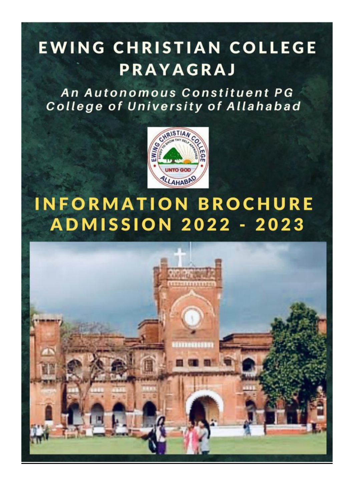# EWING CHRISTIAN COLLEGE **PRAYAGRAJ**

An Autonomous Constituent PG College of University of Allahabad



# **INFORMATION BROCHURE ADMISSION 2022 - 2023**

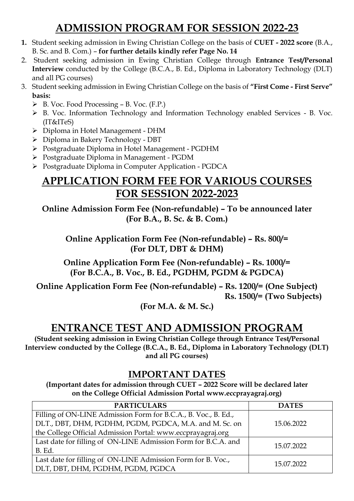# **ADMISSION PROGRAM FOR SESSION 2022-23**

- **1.** Student seeking admission in Ewing Christian College on the basis of **CUET - 2022 score** (B.A., B. Sc. and B. Com.) – **for further details kindly refer Page No. 14**
- 2. Student seeking admission in Ewing Christian College through **Entrance Test/Personal Interview** conducted by the College (B.C.A., B. Ed., Diploma in Laboratory Technology (DLT) and all PG courses)
- 3. Student seeking admission in Ewing Christian College on the basis of **"First Come - First Serve" basis:** 
	- $\triangleright$  B. Voc. Food Processing B. Voc. (F.P.)
	- B. Voc. Information Technology and Information Technology enabled Services B. Voc. (IT&ITeS)
	- Diploma in Hotel Management DHM
	- Diploma in Bakery Technology DBT
	- Postgraduate Diploma in Hotel Management PGDHM
	- Postgraduate Diploma in Management PGDM
	- Postgraduate Diploma in Computer Application PGDCA

## **APPLICATION FORM FEE FOR VARIOUS COURSES FOR SESSION 2022-2023**

**Online Admission Form Fee (Non-refundable) – To be announced later (For B.A., B. Sc. & B. Com.)** 

**Online Application Form Fee (Non-refundable) – Rs. 800/= (For DLT, DBT & DHM)** 

**Online Application Form Fee (Non-refundable) – Rs. 1000/= (For B.C.A., B. Voc., B. Ed., PGDHM, PGDM & PGDCA)**

**Online Application Form Fee (Non-refundable) – Rs. 1200/= (One Subject) Rs. 1500/= (Two Subjects)**

**(For M.A. & M. Sc.)**

## **ENTRANCE TEST AND ADMISSION PROGRAM**

**(Student seeking admission in Ewing Christian College through Entrance Test/Personal Interview conducted by the College (B.C.A., B. Ed., Diploma in Laboratory Technology (DLT) and all PG courses)**

## **IMPORTANT DATES**

**(Important dates for admission through CUET – 2022 Score will be declared later on the College Official Admission Portal www.eccprayagraj.org)**

| <b>PARTICULARS</b>                                             | <b>DATES</b> |
|----------------------------------------------------------------|--------------|
| Filling of ON-LINE Admission Form for B.C.A., B. Voc., B. Ed., |              |
| DLT., DBT, DHM, PGDHM, PGDM, PGDCA, M.A. and M. Sc. on         | 15.06.2022   |
| the College Official Admission Portal: www.eccprayagraj.org    |              |
| Last date for filling of ON-LINE Admission Form for B.C.A. and |              |
| B. Ed.                                                         | 15.07.2022   |
| Last date for filling of ON-LINE Admission Form for B. Voc.,   |              |
| DLT, DBT, DHM, PGDHM, PGDM, PGDCA                              | 15.07.2022   |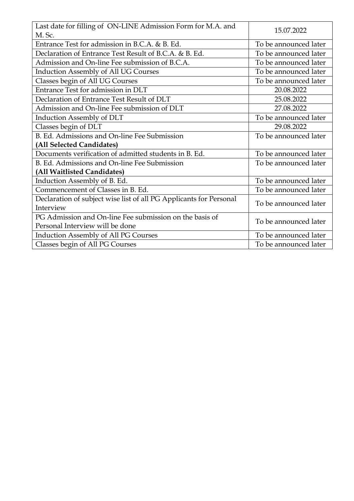| Last date for filling of ON-LINE Admission Form for M.A. and<br>M. Sc. | 15.07.2022            |
|------------------------------------------------------------------------|-----------------------|
| Entrance Test for admission in B.C.A. & B. Ed.                         | To be announced later |
| Declaration of Entrance Test Result of B.C.A. & B. Ed.                 | To be announced later |
| Admission and On-line Fee submission of B.C.A.                         | To be announced later |
| <b>Induction Assembly of All UG Courses</b>                            | To be announced later |
| Classes begin of All UG Courses                                        | To be announced later |
| Entrance Test for admission in DLT                                     | 20.08.2022            |
| Declaration of Entrance Test Result of DLT                             | 25.08.2022            |
| Admission and On-line Fee submission of DLT                            | 27.08.2022            |
| Induction Assembly of DLT                                              | To be announced later |
| Classes begin of DLT                                                   | 29.08.2022            |
| B. Ed. Admissions and On-line Fee Submission                           | To be announced later |
| (All Selected Candidates)                                              |                       |
| Documents verification of admitted students in B. Ed.                  | To be announced later |
| B. Ed. Admissions and On-line Fee Submission                           | To be announced later |
| (All Waitlisted Candidates)                                            |                       |
| Induction Assembly of B. Ed.                                           | To be announced later |
| Commencement of Classes in B. Ed.                                      | To be announced later |
| Declaration of subject wise list of all PG Applicants for Personal     | To be announced later |
| Interview                                                              |                       |
| PG Admission and On-line Fee submission on the basis of                | To be announced later |
| Personal Interview will be done                                        |                       |
| <b>Induction Assembly of All PG Courses</b>                            | To be announced later |
| Classes begin of All PG Courses                                        | To be announced later |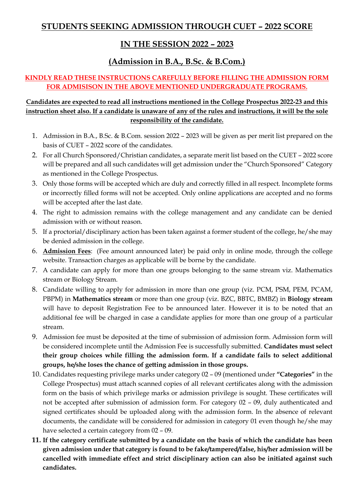## **STUDENTS SEEKING ADMISSION THROUGH CUET – 2022 SCORE**

## **IN THE SESSION 2022 – 2023**

## **(Admission in B.A., B.Sc. & B.Com.)**

#### **KINDLY READ THESE INSTRUCTIONS CAREFULLY BEFORE FILLING THE ADMISSION FORM FOR ADMISISON IN THE ABOVE MENTIONED UNDERGRADUATE PROGRAMS.**

- 1. Admission in B.A., B.Sc. & B.Com. session 2022 2023 will be given as per merit list prepared on the basis of CUET – 2022 score of the candidates.
- 2. For all Church Sponsored/Christian candidates, a separate merit list based on the CUET 2022 score will be prepared and all such candidates will get admission under the "Church Sponsored" Category as mentioned in the College Prospectus.
- 3. Only those forms will be accepted which are duly and correctly filled in all respect. Incomplete forms or incorrectly filled forms will not be accepted. Only online applications are accepted and no forms will be accepted after the last date.
- 4. The right to admission remains with the college management and any candidate can be denied admission with or without reason.
- 5. If a proctorial/disciplinary action has been taken against a former student of the college, he/she may be denied admission in the college.
- 6. **Admission Fees**: (Fee amount announced later) be paid only in online mode, through the college website. Transaction charges as applicable will be borne by the candidate.
- 7. A candidate can apply for more than one groups belonging to the same stream viz. Mathematics stream or Biology Stream.
- 8. Candidate willing to apply for admission in more than one group (viz. PCM, PSM, PEM, PCAM, PBPM) in **Mathematics stream** or more than one group (viz. BZC, BBTC, BMBZ) in **Biology stream** will have to deposit Registration Fee to be announced later. However it is to be noted that an additional fee will be charged in case a candidate applies for more than one group of a particular stream.
- 9. Admission fee must be deposited at the time of submission of admission form. Admission form will be considered incomplete until the Admission Fee is successfully submitted. **Candidates must select their group choices while filling the admission form. If a candidate fails to select additional groups, he/she loses the chance of getting admission in those groups.**
- 10. Candidates requesting privilege marks under category 02 09 (mentioned under **"Categories"** in the College Prospectus) must attach scanned copies of all relevant certificates along with the admission form on the basis of which privilege marks or admission privilege is sought. These certificates will not be accepted after submission of admission form. For category 02 – 09, duly authenticated and signed certificates should be uploaded along with the admission form. In the absence of relevant documents, the candidate will be considered for admission in category 01 even though he/she may have selected a certain category from 02 – 09.
- **11. If the category certificate submitted by a candidate on the basis of which the candidate has been given admission under that category is found to be fake/tampered/false, his/her admission will be cancelled with immediate effect and strict disciplinary action can also be initiated against such candidates.**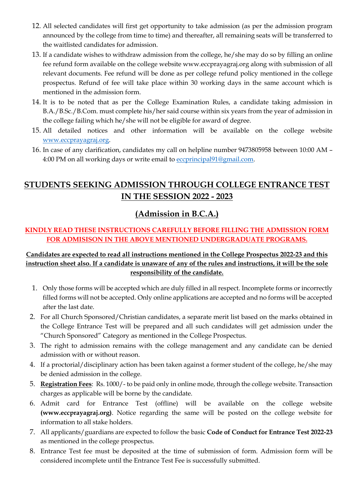- 12. All selected candidates will first get opportunity to take admission (as per the admission program announced by the college from time to time) and thereafter, all remaining seats will be transferred to the waitlisted candidates for admission.
- 13. If a candidate wishes to withdraw admission from the college, he/she may do so by filling an online fee refund form available on the college website www.eccprayagraj.org along with submission of all relevant documents. Fee refund will be done as per college refund policy mentioned in the college prospectus. Refund of fee will take place within 30 working days in the same account which is mentioned in the admission form.
- 14. It is to be noted that as per the College Examination Rules, a candidate taking admission in B.A./B.Sc./B.Com. must complete his/her said course within six years from the year of admission in the college failing which he/she will not be eligible for award of degree.
- 15. All detailed notices and other information will be available on the college website [www.eccprayagraj.org.](http://www.eccprayagraj.org/)
- 16. In case of any clarification, candidates my call on helpline number 9473805958 between 10:00 AM 4:00 PM on all working days or write email to [eccprincipal91@gmail.com.](mailto:eccprincipal91@gmail.com)

## **STUDENTS SEEKING ADMISSION THROUGH COLLEGE ENTRANCE TEST IN THE SESSION 2022 - 2023**

## **(Admission in B.C.A.)**

#### **KINDLY READ THESE INSTRUCTIONS CAREFULLY BEFORE FILLING THE ADMISSION FORM FOR ADMISISON IN THE ABOVE MENTIONED UNDERGRADUATE PROGRAMS.**

- 1. Only those forms will be accepted which are duly filled in all respect. Incomplete forms or incorrectly filled forms will not be accepted. Only online applications are accepted and no forms will be accepted after the last date.
- 2. For all Church Sponsored/Christian candidates, a separate merit list based on the marks obtained in the College Entrance Test will be prepared and all such candidates will get admission under the "Church Sponsored" Category as mentioned in the College Prospectus.
- 3. The right to admission remains with the college management and any candidate can be denied admission with or without reason.
- 4. If a proctorial/disciplinary action has been taken against a former student of the college, he/she may be denied admission in the college.
- 5. **Registration Fees**: Rs. 1000/- to be paid only in online mode, through the college website. Transaction charges as applicable will be borne by the candidate.
- 6. Admit card for Entrance Test (offline) will be available on the college website **(www.eccprayagraj.org)**. Notice regarding the same will be posted on the college website for information to all stake holders.
- 7. All applicants/guardians are expected to follow the basic **Code of Conduct for Entrance Test 2022-23** as mentioned in the college prospectus.
- 8. Entrance Test fee must be deposited at the time of submission of form. Admission form will be considered incomplete until the Entrance Test Fee is successfully submitted.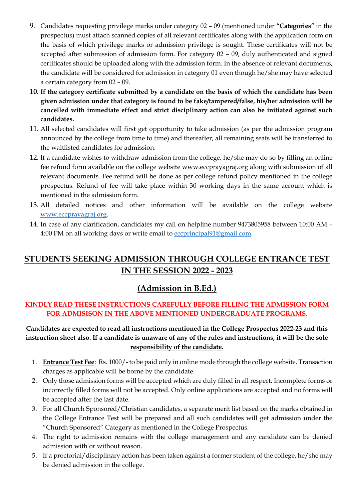- 9. Candidates requesting privilege marks under category 02 09 (mentioned under **"Categories"** in the prospectus) must attach scanned copies of all relevant certificates along with the application form on the basis of which privilege marks or admission privilege is sought. These certificates will not be accepted after submission of admission form. For category 02 – 09, duly authenticated and signed certificates should be uploaded along with the admission form. In the absence of relevant documents, the candidate will be considered for admission in category 01 even though he/she may have selected a certain category from 02 – 09.
- **10. If the category certificate submitted by a candidate on the basis of which the candidate has been given admission under that category is found to be fake/tampered/false, his/her admission will be cancelled with immediate effect and strict disciplinary action can also be initiated against such candidates.**
- 11. All selected candidates will first get opportunity to take admission (as per the admission program announced by the college from time to time) and thereafter, all remaining seats will be transferred to the waitlisted candidates for admission.
- 12. If a candidate wishes to withdraw admission from the college, he/she may do so by filling an online fee refund form available on the college website www.eccprayagraj.org along with submission of all relevant documents. Fee refund will be done as per college refund policy mentioned in the college prospectus. Refund of fee will take place within 30 working days in the same account which is mentioned in the admission form.
- 13. All detailed notices and other information will be available on the college website [www.eccprayagraj.org.](http://www.eccprayagraj.org/)
- 14. In case of any clarification, candidates my call on helpline number 9473805958 between 10:00 AM 4:00 PM on all working days or write email to [eccprincipal91@gmail.com.](mailto:eccprincipal91@gmail.com)

## **STUDENTS SEEKING ADMISSION THROUGH COLLEGE ENTRANCE TEST IN THE SESSION 2022 - 2023**

## **(Admission in B.Ed.)**

#### **KINDLY READ THESE INSTRUCTIONS CAREFULLY BEFORE FILLING THE ADMISSION FORM FOR ADMISISON IN THE ABOVE MENTIONED UNDERGRADUATE PROGRAMS.**

- 1. **Entrance Test Fee**: Rs. 1000/- to be paid only in online mode through the college website. Transaction charges as applicable will be borne by the candidate.
- 2. Only those admission forms will be accepted which are duly filled in all respect. Incomplete forms or incorrectly filled forms will not be accepted. Only online applications are accepted and no forms will be accepted after the last date.
- 3. For all Church Sponsored/Christian candidates, a separate merit list based on the marks obtained in the College Entrance Test will be prepared and all such candidates will get admission under the "Church Sponsored" Category as mentioned in the College Prospectus.
- 4. The right to admission remains with the college management and any candidate can be denied admission with or without reason.
- 5. If a proctorial/disciplinary action has been taken against a former student of the college, he/she may be denied admission in the college.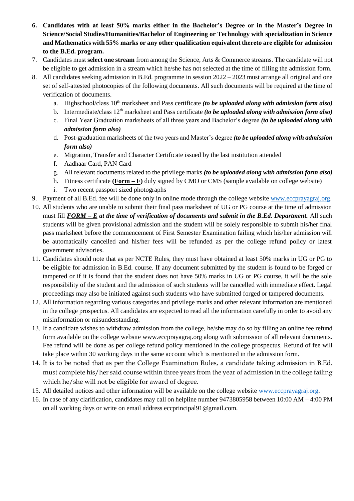- **6. Candidates with at least 50% marks either in the Bachelor's Degree or in the Master's Degree in Science/Social Studies/Humanities/Bachelor of Engineering or Technology with specialization in Science and Mathematics with 55% marks or any other qualification equivalent thereto are eligible for admission to the B.Ed. program.**
- 7. Candidates must **select one stream** from among the Science, Arts & Commerce streams. The candidate will not be eligible to get admission in a stream which he/she has not selected at the time of filling the admission form.
- 8. All candidates seeking admission in B.Ed. programme in session 2022 2023 must arrange all original and one set of self-attested photocopies of the following documents. All such documents will be required at the time of verification of documents.
	- a. Highschool/class 10<sup>th</sup> marksheet and Pass certificate *(to be uploaded along with admission form also)*
	- b. Intermediate/class 12<sup>th</sup> marksheet and Pass certificate *(to be uploaded along with admission form also)*
	- c. Final Year Graduation marksheets of all three years and Bachelor's degree *(to be uploaded along with admission form also)*
	- d. Post-graduation marksheets of the two years and Master's degree *(to be uploaded along with admission form also)*
	- e. Migration, Transfer and Character Certificate issued by the last institution attended
	- f. Aadhaar Card, PAN Card
	- g. All relevant documents related to the privilege marks *(to be uploaded along with admission form also)*
	- h. Fitness certificate (**Form F**) duly signed by CMO or CMS (sample available on college website)
	- i. Two recent passport sized photographs
- 9. Payment of all B.Ed. fee will be done only in online mode through the college website [www.eccprayagraj.org.](http://www.eccprayagraj.org/)
- 10. All students who are unable to submit their final pass marksheet of UG or PG course at the time of admission must fill *FORM – E at the time of verification of documents and submit in the B.Ed. Department.* **All such** students will be given provisional admission and the student will be solely responsible to submit his/her final pass marksheet before the commencement of First Semester Examination failing which his/her admission will be automatically cancelled and his/her fees will be refunded as per the college refund policy or latest government advisories.
- 11. Candidates should note that as per NCTE Rules, they must have obtained at least 50% marks in UG or PG to be eligible for admission in B.Ed. course. If any document submitted by the student is found to be forged or tampered or if it is found that the student does not have 50% marks in UG or PG course, it will be the sole responsibility of the student and the admission of such students will be cancelled with immediate effect. Legal proceedings may also be initiated against such students who have submitted forged or tampered documents.
- 12. All information regarding various categories and privilege marks and other relevant information are mentioned in the college prospectus. All candidates are expected to read all the information carefully in order to avoid any misinformation or misunderstanding.
- 13. If a candidate wishes to withdraw admission from the college, he/she may do so by filling an online fee refund form available on the college website www.eccprayagraj.org along with submission of all relevant documents. Fee refund will be done as per college refund policy mentioned in the college prospectus. Refund of fee will take place within 30 working days in the same account which is mentioned in the admission form.
- 14. It is to be noted that as per the College Examination Rules, a candidate taking admission in B.Ed. must complete his/her said course within three years from the year of admission in the college failing which he/she will not be eligible for award of degree.
- 15. All detailed notices and other information will be available on the college website [www.eccprayagraj.org.](http://www.eccprayagraj.org/)
- 16. In case of any clarification, candidates may call on helpline number 9473805958 between 10:00 AM 4:00 PM on all working days or write on email address eccprincipal91@gmail.com.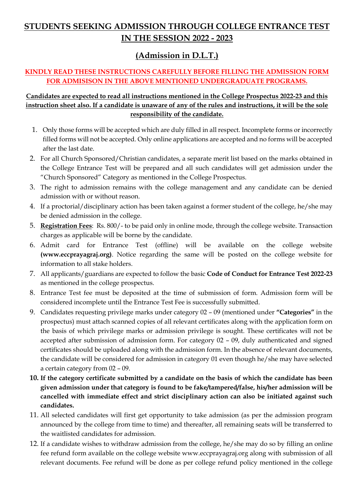## **STUDENTS SEEKING ADMISSION THROUGH COLLEGE ENTRANCE TEST IN THE SESSION 2022 - 2023**

## **(Admission in D.L.T.)**

#### **KINDLY READ THESE INSTRUCTIONS CAREFULLY BEFORE FILLING THE ADMISSION FORM FOR ADMISISON IN THE ABOVE MENTIONED UNDERGRADUATE PROGRAMS.**

- 1. Only those forms will be accepted which are duly filled in all respect. Incomplete forms or incorrectly filled forms will not be accepted. Only online applications are accepted and no forms will be accepted after the last date.
- 2. For all Church Sponsored/Christian candidates, a separate merit list based on the marks obtained in the College Entrance Test will be prepared and all such candidates will get admission under the "Church Sponsored" Category as mentioned in the College Prospectus.
- 3. The right to admission remains with the college management and any candidate can be denied admission with or without reason.
- 4. If a proctorial/disciplinary action has been taken against a former student of the college, he/she may be denied admission in the college.
- 5. **Registration Fees**: Rs. 800/- to be paid only in online mode, through the college website. Transaction charges as applicable will be borne by the candidate.
- 6. Admit card for Entrance Test (offline) will be available on the college website **(www.eccprayagraj.org)**. Notice regarding the same will be posted on the college website for information to all stake holders.
- 7. All applicants/guardians are expected to follow the basic **Code of Conduct for Entrance Test 2022-23** as mentioned in the college prospectus.
- 8. Entrance Test fee must be deposited at the time of submission of form. Admission form will be considered incomplete until the Entrance Test Fee is successfully submitted.
- 9. Candidates requesting privilege marks under category 02 09 (mentioned under **"Categories"** in the prospectus) must attach scanned copies of all relevant certificates along with the application form on the basis of which privilege marks or admission privilege is sought. These certificates will not be accepted after submission of admission form. For category 02 – 09, duly authenticated and signed certificates should be uploaded along with the admission form. In the absence of relevant documents, the candidate will be considered for admission in category 01 even though he/she may have selected a certain category from 02 – 09.
- **10. If the category certificate submitted by a candidate on the basis of which the candidate has been given admission under that category is found to be fake/tampered/false, his/her admission will be cancelled with immediate effect and strict disciplinary action can also be initiated against such candidates.**
- 11. All selected candidates will first get opportunity to take admission (as per the admission program announced by the college from time to time) and thereafter, all remaining seats will be transferred to the waitlisted candidates for admission.
- 12. If a candidate wishes to withdraw admission from the college, he/she may do so by filling an online fee refund form available on the college website www.eccprayagraj.org along with submission of all relevant documents. Fee refund will be done as per college refund policy mentioned in the college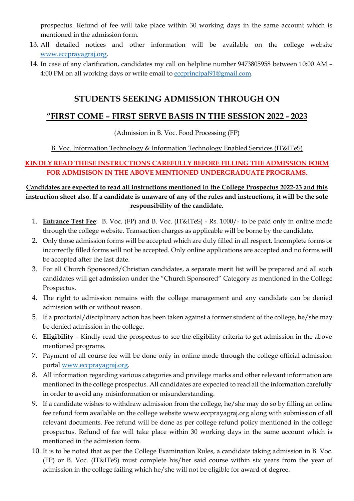prospectus. Refund of fee will take place within 30 working days in the same account which is mentioned in the admission form.

- 13. All detailed notices and other information will be available on the college website [www.eccprayagraj.org.](http://www.eccprayagraj.org/)
- 14. In case of any clarification, candidates my call on helpline number 9473805958 between 10:00 AM 4:00 PM on all working days or write email to [eccprincipal91@gmail.com.](mailto:eccprincipal91@gmail.com)

#### **STUDENTS SEEKING ADMISSION THROUGH ON**

#### **"FIRST COME – FIRST SERVE BASIS IN THE SESSION 2022 - 2023**

(Admission in B. Voc. Food Processing (FP)

B. Voc. Information Technology & Information Technology Enabled Services (IT&ITeS)

#### **KINDLY READ THESE INSTRUCTIONS CAREFULLY BEFORE FILLING THE ADMISSION FORM FOR ADMISISON IN THE ABOVE MENTIONED UNDERGRADUATE PROGRAMS.**

- 1. **Entrance Test Fee**: B. Voc. (FP) and B. Voc. (IT&ITeS) Rs. 1000/- to be paid only in online mode through the college website. Transaction charges as applicable will be borne by the candidate.
- 2. Only those admission forms will be accepted which are duly filled in all respect. Incomplete forms or incorrectly filled forms will not be accepted. Only online applications are accepted and no forms will be accepted after the last date.
- 3. For all Church Sponsored/Christian candidates, a separate merit list will be prepared and all such candidates will get admission under the "Church Sponsored" Category as mentioned in the College Prospectus.
- 4. The right to admission remains with the college management and any candidate can be denied admission with or without reason.
- 5. If a proctorial/disciplinary action has been taken against a former student of the college, he/she may be denied admission in the college.
- 6. **Eligibility** Kindly read the prospectus to see the eligibility criteria to get admission in the above mentioned programs.
- 7. Payment of all course fee will be done only in online mode through the college official admission portal [www.eccprayagraj.org.](http://www.eccprayagraj.org/)
- 8. All information regarding various categories and privilege marks and other relevant information are mentioned in the college prospectus. All candidates are expected to read all the information carefully in order to avoid any misinformation or misunderstanding.
- 9. If a candidate wishes to withdraw admission from the college, he/she may do so by filling an online fee refund form available on the college website www.eccprayagraj.org along with submission of all relevant documents. Fee refund will be done as per college refund policy mentioned in the college prospectus. Refund of fee will take place within 30 working days in the same account which is mentioned in the admission form.
- 10. It is to be noted that as per the College Examination Rules, a candidate taking admission in B. Voc. (FP) or B. Voc. (IT&ITeS) must complete his/her said course within six years from the year of admission in the college failing which he/she will not be eligible for award of degree.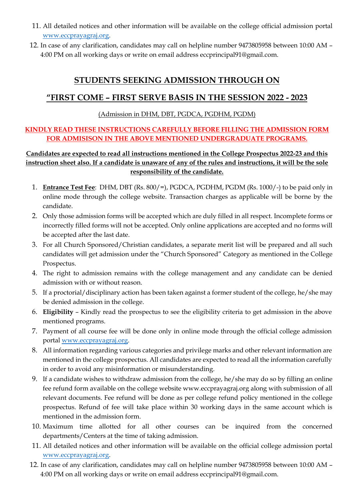- 11. All detailed notices and other information will be available on the college official admission portal [www.eccprayagraj.org.](http://www.eccprayagraj.org/)
- 12. In case of any clarification, candidates may call on helpline number 9473805958 between 10:00 AM 4:00 PM on all working days or write on email address eccprincipal91@gmail.com.

## **STUDENTS SEEKING ADMISSION THROUGH ON**

### **"FIRST COME – FIRST SERVE BASIS IN THE SESSION 2022 - 2023**

#### (Admission in DHM, DBT, PGDCA, PGDHM, PGDM)

#### **KINDLY READ THESE INSTRUCTIONS CAREFULLY BEFORE FILLING THE ADMISSION FORM FOR ADMISISON IN THE ABOVE MENTIONED UNDERGRADUATE PROGRAMS.**

- 1. **Entrance Test Fee**: DHM, DBT (Rs. 800/=), PGDCA, PGDHM, PGDM (Rs. 1000/-) to be paid only in online mode through the college website. Transaction charges as applicable will be borne by the candidate.
- 2. Only those admission forms will be accepted which are duly filled in all respect. Incomplete forms or incorrectly filled forms will not be accepted. Only online applications are accepted and no forms will be accepted after the last date.
- 3. For all Church Sponsored/Christian candidates, a separate merit list will be prepared and all such candidates will get admission under the "Church Sponsored" Category as mentioned in the College Prospectus.
- 4. The right to admission remains with the college management and any candidate can be denied admission with or without reason.
- 5. If a proctorial/disciplinary action has been taken against a former student of the college, he/she may be denied admission in the college.
- 6. **Eligibility** Kindly read the prospectus to see the eligibility criteria to get admission in the above mentioned programs.
- 7. Payment of all course fee will be done only in online mode through the official college admission portal [www.eccprayagraj.org.](http://www.eccprayagraj.org/)
- 8. All information regarding various categories and privilege marks and other relevant information are mentioned in the college prospectus. All candidates are expected to read all the information carefully in order to avoid any misinformation or misunderstanding.
- 9. If a candidate wishes to withdraw admission from the college, he/she may do so by filling an online fee refund form available on the college website www.eccprayagraj.org along with submission of all relevant documents. Fee refund will be done as per college refund policy mentioned in the college prospectus. Refund of fee will take place within 30 working days in the same account which is mentioned in the admission form.
- 10. Maximum time allotted for all other courses can be inquired from the concerned departments/Centers at the time of taking admission.
- 11. All detailed notices and other information will be available on the official college admission portal [www.eccprayagraj.org.](http://www.eccprayagraj.org/)
- 12. In case of any clarification, candidates may call on helpline number 9473805958 between 10:00 AM 4:00 PM on all working days or write on email address eccprincipal91@gmail.com.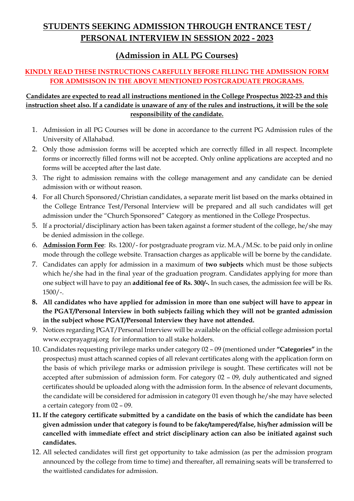## **STUDENTS SEEKING ADMISSION THROUGH ENTRANCE TEST / PERSONAL INTERVIEW IN SESSION 2022 - 2023**

## **(Admission in ALL PG Courses)**

#### **KINDLY READ THESE INSTRUCTIONS CAREFULLY BEFORE FILLING THE ADMISSION FORM FOR ADMISISON IN THE ABOVE MENTIONED POSTGRADUATE PROGRAMS.**

- 1. Admission in all PG Courses will be done in accordance to the current PG Admission rules of the University of Allahabad.
- 2. Only those admission forms will be accepted which are correctly filled in all respect. Incomplete forms or incorrectly filled forms will not be accepted. Only online applications are accepted and no forms will be accepted after the last date.
- 3. The right to admission remains with the college management and any candidate can be denied admission with or without reason.
- 4. For all Church Sponsored/Christian candidates, a separate merit list based on the marks obtained in the College Entrance Test/Personal Interview will be prepared and all such candidates will get admission under the "Church Sponsored" Category as mentioned in the College Prospectus.
- 5. If a proctorial/disciplinary action has been taken against a former student of the college, he/she may be denied admission in the college.
- 6. **Admission Form Fee**: Rs. 1200/- for postgraduate program viz. M.A./M.Sc. to be paid only in online mode through the college website. Transaction charges as applicable will be borne by the candidate.
- 7. Candidates can apply for admission in a maximum of **two subjects** which must be those subjects which he/she had in the final year of the graduation program. Candidates applying for more than one subject will have to pay an **additional fee of Rs. 300/-.** In such cases, the admission fee will be Rs. 1500/-.
- **8. All candidates who have applied for admission in more than one subject will have to appear in the PGAT/Personal Interview in both subjects failing which they will not be granted admission in the subject whose PGAT/Personal Interview they have not attended.**
- 9. Notices regarding PGAT/Personal Interview will be available on the official college admission portal www.eccprayagraj.org for information to all stake holders.
- 10. Candidates requesting privilege marks under category 02 09 (mentioned under **"Categories"** in the prospectus) must attach scanned copies of all relevant certificates along with the application form on the basis of which privilege marks or admission privilege is sought. These certificates will not be accepted after submission of admission form. For category 02 – 09, duly authenticated and signed certificates should be uploaded along with the admission form. In the absence of relevant documents, the candidate will be considered for admission in category 01 even though he/she may have selected a certain category from 02 – 09.
- **11. If the category certificate submitted by a candidate on the basis of which the candidate has been given admission under that category is found to be fake/tampered/false, his/her admission will be cancelled with immediate effect and strict disciplinary action can also be initiated against such candidates.**
- 12. All selected candidates will first get opportunity to take admission (as per the admission program announced by the college from time to time) and thereafter, all remaining seats will be transferred to the waitlisted candidates for admission.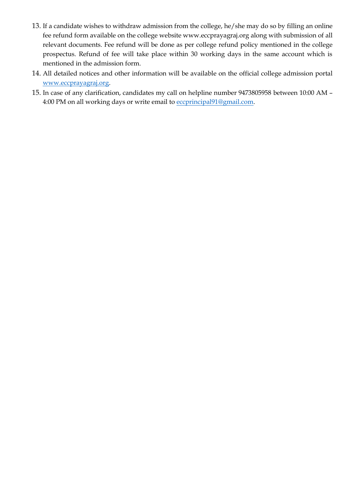- 13. If a candidate wishes to withdraw admission from the college, he/she may do so by filling an online fee refund form available on the college website www.eccprayagraj.org along with submission of all relevant documents. Fee refund will be done as per college refund policy mentioned in the college prospectus. Refund of fee will take place within 30 working days in the same account which is mentioned in the admission form.
- 14. All detailed notices and other information will be available on the official college admission portal [www.eccprayagraj.org.](http://www.eccprayagraj.org/)
- 15. In case of any clarification, candidates my call on helpline number 9473805958 between 10:00 AM 4:00 PM on all working days or write email to [eccprincipal91@gmail.com.](mailto:eccprincipal91@gmail.com)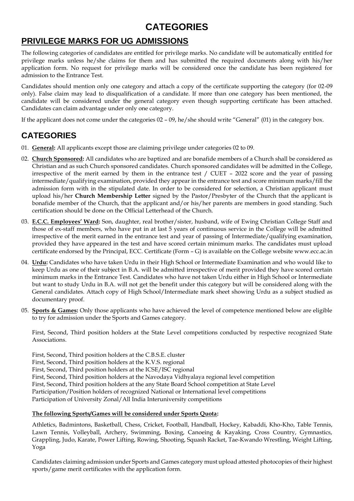## **CATEGORIES**

## **PRIVILEGE MARKS FOR UG ADMISSIONS**

The following categories of candidates are entitled for privilege marks. No candidate will be automatically entitled for privilege marks unless he/she claims for them and has submitted the required documents along with his/her application form. No request for privilege marks will be considered once the candidate has been registered for admission to the Entrance Test.

Candidates should mention only one category and attach a copy of the certificate supporting the category (for 02-09 only). False claim may lead to disqualification of a candidate. If more than one category has been mentioned, the candidate will be considered under the general category even though supporting certificate has been attached. Candidates can claim advantage under only one category.

If the applicant does not come under the categories 02 – 09, he/she should write "General" (01) in the category box.

## **CATEGORIES**

- 01. **General:** All applicants except those are claiming privilege under categories 02 to 09.
- 02. **Church Sponsored:** All candidates who are baptized and are bonafide members of a Church shall be considered as Christian and as such Church sponsored candidates. Church sponsored candidates will be admitted in the College, irrespective of the merit earned by them in the entrance test / CUET – 2022 score and the year of passing intermediate/qualifying examination, provided they appear in the entrance test and score minimum marks/fill the admission form with in the stipulated date. In order to be considered for selection, a Christian applicant must upload his/her **Church Membership Letter** signed by the Pastor/Presbyter of the Church that the applicant is bonafide member of the Church, that the applicant and/or his/her parents are members in good standing. Such certification should be done on the Official Letterhead of the Church.
- 03. **E.C.C. Employees' Ward:** Son, daughter, real brother/sister, husband, wife of Ewing Christian College Staff and those of ex-staff members, who have put in at last 5 years of continuous service in the College will be admitted irrespective of the merit earned in the entrance test and year of passing of Intermediate/qualifying examination, provided they have appeared in the test and have scored certain minimum marks. The candidates must upload certificate endorsed by the Principal, ECC. Certificate (Form – G) is available on the College website www.ecc.ac.in
- 04. **Urdu:** Candidates who have taken Urdu in their High School or Intermediate Examination and who would like to keep Urdu as one of their subject in B.A. will be admitted irrespective of merit provided they have scored certain minimum marks in the Entrance Test. Candidates who have not taken Urdu either in High School or Intermediate but want to study Urdu in B.A. will not get the benefit under this category but will be considered along with the General candidates. Attach copy of High School/Intermediate mark sheet showing Urdu as a subject studied as documentary proof.
- 05. **Sports & Games:** Only those applicants who have achieved the level of competence mentioned below are eligible to try for admission under the Sports and Games category.

First, Second, Third position holders at the State Level competitions conducted by respective recognized State Associations.

First, Second, Third position holders at the C.B.S.E. cluster

First, Second, Third position holders at the K.V.S. regional

First, Second, Third position holders at the ICSE/ISC regional

First, Second, Third position holders at the Navodaya Vidhyalaya regional level competition

First, Second, Third position holders at the any State Board School competition at State Level

Participation/Position holders of recognized National or International level competitions

Participation of University Zonal/All India Interuniversity competitions

#### **The following Sports/Games will be considered under Sports Quota:**

Athletics, Badmintons, Basketball, Chess, Cricket, Football, Handball, Hockey, Kabaddi, Kho-Kho, Table Tennis, Lawn Tennis, Volleyball, Archery, Swimming, Boxing, Canoeing & Kayaking, Cross Country, Gymnastics, Grappling, Judo, Karate, Power Lifting, Rowing, Shooting, Squash Racket, Tae-Kwando Wrestling, Weight Lifting, Yoga

Candidates claiming admission under Sports and Games category must upload attested photocopies of their highest sports/game merit certificates with the application form.